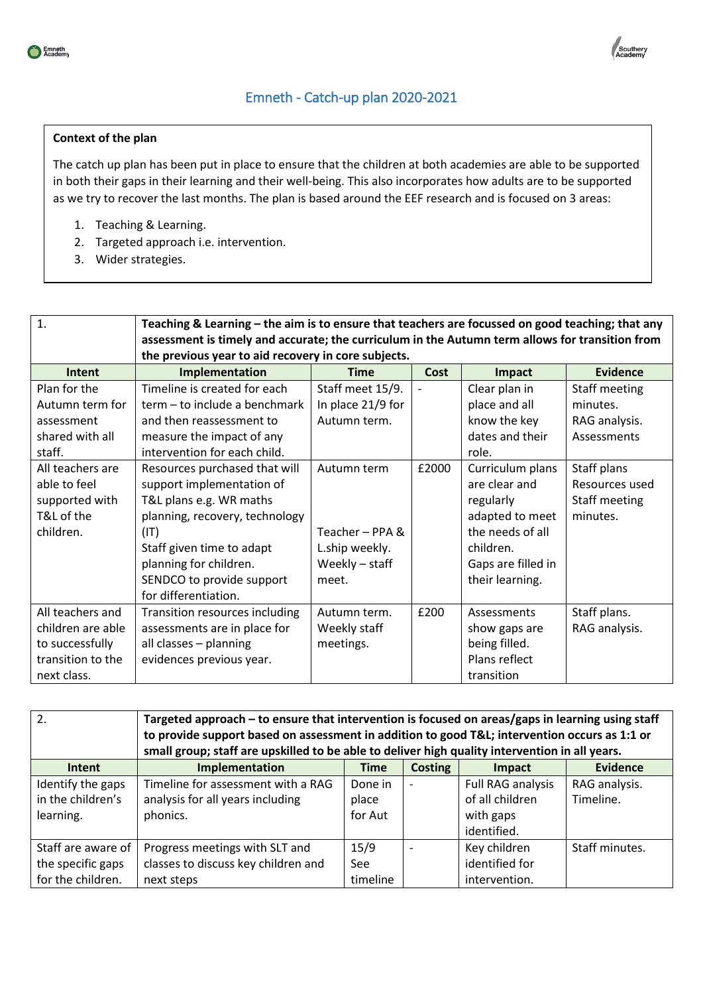

## Emneth - Catch-up plan 2020-2021

## **Context of the plan**

The catch up plan has been put in place to ensure that the children at both academies are able to be supported in both their gaps in their learning and their well-being. This also incorporates how adults are to be supported as we try to recover the last months. The plan is based around the EEF research and is focused on 3 areas:

- 1. Teaching & Learning.
- 2. Targeted approach i.e. intervention.
- 3. Wider strategies.

| $\mathbf{1}$ .    | Teaching & Learning - the aim is to ensure that teachers are focussed on good teaching; that any<br>assessment is timely and accurate; the curriculum in the Autumn term allows for transition from<br>the previous year to aid recovery in core subjects. |                   |       |                    |                 |
|-------------------|------------------------------------------------------------------------------------------------------------------------------------------------------------------------------------------------------------------------------------------------------------|-------------------|-------|--------------------|-----------------|
| Intent            | Implementation                                                                                                                                                                                                                                             | <b>Time</b>       | Cost  | Impact             | <b>Evidence</b> |
| Plan for the      | Timeline is created for each                                                                                                                                                                                                                               | Staff meet 15/9.  |       | Clear plan in      | Staff meeting   |
| Autumn term for   | term - to include a benchmark                                                                                                                                                                                                                              | In place 21/9 for |       | place and all      | minutes.        |
| assessment        | and then reassessment to                                                                                                                                                                                                                                   | Autumn term.      |       | know the key       | RAG analysis.   |
| shared with all   | measure the impact of any                                                                                                                                                                                                                                  |                   |       | dates and their    | Assessments     |
| staff.            | intervention for each child.                                                                                                                                                                                                                               |                   |       | role.              |                 |
| All teachers are  | Resources purchased that will                                                                                                                                                                                                                              | Autumn term       | £2000 | Curriculum plans   | Staff plans     |
| able to feel      | support implementation of                                                                                                                                                                                                                                  |                   |       | are clear and      | Resources used  |
| supported with    | T&L plans e.g. WR maths                                                                                                                                                                                                                                    |                   |       | regularly          | Staff meeting   |
| T&L of the        | planning, recovery, technology                                                                                                                                                                                                                             |                   |       | adapted to meet    | minutes.        |
| children.         | (T T)                                                                                                                                                                                                                                                      | Teacher - PPA &   |       | the needs of all   |                 |
|                   | Staff given time to adapt                                                                                                                                                                                                                                  | L.ship weekly.    |       | children.          |                 |
|                   | planning for children.                                                                                                                                                                                                                                     | Weekly - staff    |       | Gaps are filled in |                 |
|                   | SENDCO to provide support                                                                                                                                                                                                                                  | meet.             |       | their learning.    |                 |
|                   | for differentiation.                                                                                                                                                                                                                                       |                   |       |                    |                 |
| All teachers and  | Transition resources including                                                                                                                                                                                                                             | Autumn term.      | £200  | Assessments        | Staff plans.    |
| children are able | assessments are in place for                                                                                                                                                                                                                               | Weekly staff      |       | show gaps are      | RAG analysis.   |
| to successfully   | all classes - planning                                                                                                                                                                                                                                     | meetings.         |       | being filled.      |                 |
| transition to the | evidences previous year.                                                                                                                                                                                                                                   |                   |       | Plans reflect      |                 |
| next class.       |                                                                                                                                                                                                                                                            |                   |       | transition         |                 |

| 2.                 | Targeted approach – to ensure that intervention is focused on areas/gaps in learning using staff |             |                          |                   |                 |  |
|--------------------|--------------------------------------------------------------------------------------------------|-------------|--------------------------|-------------------|-----------------|--|
|                    | to provide support based on assessment in addition to good T&L intervention occurs as 1:1 or     |             |                          |                   |                 |  |
|                    | small group; staff are upskilled to be able to deliver high quality intervention in all years.   |             |                          |                   |                 |  |
| Intent             | Implementation                                                                                   | <b>Time</b> | <b>Costing</b>           | Impact            | <b>Evidence</b> |  |
| Identify the gaps  | Timeline for assessment with a RAG                                                               | Done in     | $\overline{\phantom{a}}$ | Full RAG analysis | RAG analysis.   |  |
| in the children's  | analysis for all years including                                                                 | place       |                          | of all children   | Timeline.       |  |
| learning.          | phonics.                                                                                         | for Aut     |                          | with gaps         |                 |  |
|                    |                                                                                                  |             |                          | identified.       |                 |  |
| Staff are aware of | Progress meetings with SLT and                                                                   | 15/9        | $\overline{\phantom{a}}$ | Key children      | Staff minutes.  |  |
| the specific gaps  | classes to discuss key children and                                                              | See         |                          | identified for    |                 |  |
| for the children.  | next steps                                                                                       | timeline    |                          | intervention.     |                 |  |